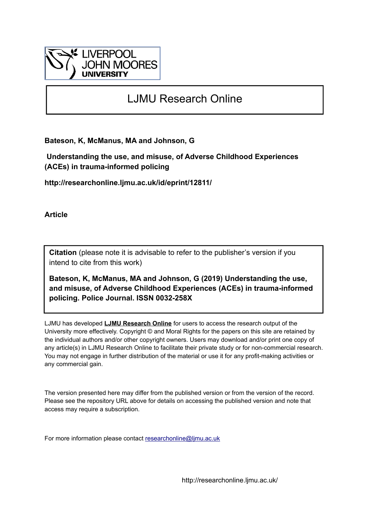

# LJMU Research Online

**Bateson, K, McManus, MA and Johnson, G**

 **Understanding the use, and misuse, of Adverse Childhood Experiences (ACEs) in trauma-informed policing**

**http://researchonline.ljmu.ac.uk/id/eprint/12811/**

**Article**

**Citation** (please note it is advisable to refer to the publisher's version if you intend to cite from this work)

**Bateson, K, McManus, MA and Johnson, G (2019) Understanding the use, and misuse, of Adverse Childhood Experiences (ACEs) in trauma-informed policing. Police Journal. ISSN 0032-258X** 

LJMU has developed **[LJMU Research Online](http://researchonline.ljmu.ac.uk/)** for users to access the research output of the University more effectively. Copyright © and Moral Rights for the papers on this site are retained by the individual authors and/or other copyright owners. Users may download and/or print one copy of any article(s) in LJMU Research Online to facilitate their private study or for non-commercial research. You may not engage in further distribution of the material or use it for any profit-making activities or any commercial gain.

The version presented here may differ from the published version or from the version of the record. Please see the repository URL above for details on accessing the published version and note that access may require a subscription.

For more information please contact [researchonline@ljmu.ac.uk](mailto:researchonline@ljmu.ac.uk)

http://researchonline.ljmu.ac.uk/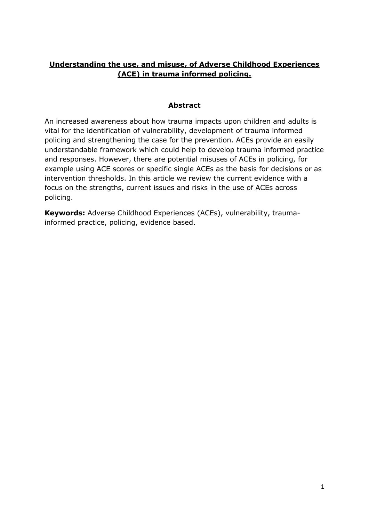# **Understanding the use, and misuse, of Adverse Childhood Experiences (ACE) in trauma informed policing.**

#### **Abstract**

An increased awareness about how trauma impacts upon children and adults is vital for the identification of vulnerability, development of trauma informed policing and strengthening the case for the prevention. ACEs provide an easily understandable framework which could help to develop trauma informed practice and responses. However, there are potential misuses of ACEs in policing, for example using ACE scores or specific single ACEs as the basis for decisions or as intervention thresholds. In this article we review the current evidence with a focus on the strengths, current issues and risks in the use of ACEs across policing.

**Keywords:** Adverse Childhood Experiences (ACEs), vulnerability, traumainformed practice, policing, evidence based.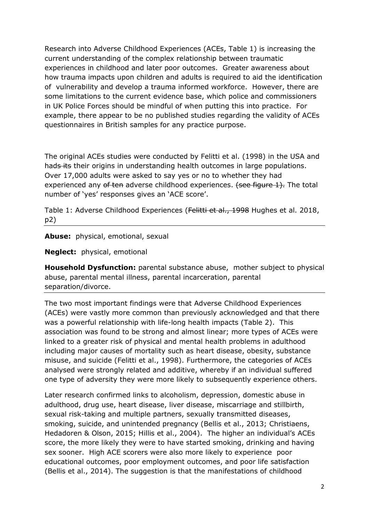Research into Adverse Childhood Experiences (ACEs, Table 1) is increasing the current understanding of the complex relationship between traumatic experiences in childhood and later poor outcomes. Greater awareness about how trauma impacts upon children and adults is required to aid the identification of vulnerability and develop a trauma informed workforce. However, there are some limitations to the current evidence base, which police and commissioners in UK Police Forces should be mindful of when putting this into practice. For example, there appear to be no published studies regarding the validity of ACEs questionnaires in British samples for any practice purpose.

The original ACEs studies were conducted by Felitti et al. (1998) in the USA and hads its their origins in understanding health outcomes in large populations. Over 17,000 adults were asked to say yes or no to whether they had experienced any of ten adverse childhood experiences. (see figure 1). The total number of 'yes' responses gives an 'ACE score'.

Table 1: Adverse Childhood Experiences (Felitti et al., 1998 Hughes et al. 2018, p2)

**Abuse:** physical, emotional, sexual

**Neglect:** physical, emotional

**Household Dysfunction:** parental substance abuse, mother subject to physical abuse, parental mental illness, parental incarceration, parental separation/divorce.

The two most important findings were that Adverse Childhood Experiences (ACEs) were vastly more common than previously acknowledged and that there was a powerful relationship with life-long health impacts (Table 2). This association was found to be strong and almost linear; more types of ACEs were linked to a greater risk of physical and mental health problems in adulthood including major causes of mortality such as heart disease, obesity, substance misuse, and suicide (Felitti et al., 1998). Furthermore, the categories of ACEs analysed were strongly related and additive, whereby if an individual suffered one type of adversity they were more likely to subsequently experience others.

Later research confirmed links to alcoholism, depression, domestic abuse in adulthood, drug use, heart disease, liver disease, miscarriage and stillbirth, sexual risk-taking and multiple partners, sexually transmitted diseases, smoking, suicide, and unintended pregnancy (Bellis et al., 2013; Christiaens, Hedadoren & Olson, 2015; Hillis et al., 2004). The higher an individual's ACEs score, the more likely they were to have started smoking, drinking and having sex sooner. High ACE scorers were also more likely to experience poor educational outcomes, poor employment outcomes, and poor life satisfaction (Bellis et al., 2014). The suggestion is that the manifestations of childhood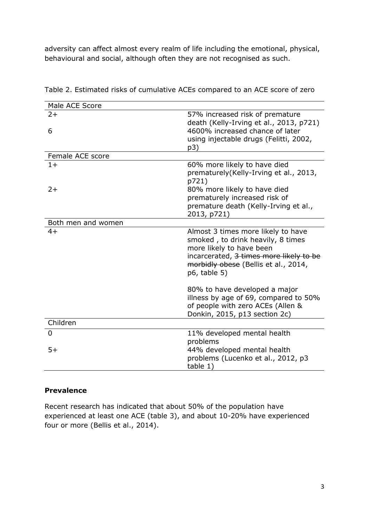adversity can affect almost every realm of life including the emotional, physical, behavioural and social, although often they are not recognised as such.

| Male ACE Score     |                                                                                                                                                                                                        |
|--------------------|--------------------------------------------------------------------------------------------------------------------------------------------------------------------------------------------------------|
| $2+$               | 57% increased risk of premature<br>death (Kelly-Irving et al., 2013, p721)                                                                                                                             |
| 6                  | 4600% increased chance of later                                                                                                                                                                        |
|                    | using injectable drugs (Felitti, 2002,                                                                                                                                                                 |
|                    | p3)                                                                                                                                                                                                    |
| Female ACE score   |                                                                                                                                                                                                        |
| $1+$               | 60% more likely to have died                                                                                                                                                                           |
|                    | prematurely (Kelly-Irving et al., 2013,<br>p721)                                                                                                                                                       |
| $2+$               | 80% more likely to have died                                                                                                                                                                           |
|                    | prematurely increased risk of                                                                                                                                                                          |
|                    | premature death (Kelly-Irving et al.,                                                                                                                                                                  |
|                    | 2013, p721)                                                                                                                                                                                            |
| Both men and women |                                                                                                                                                                                                        |
| $4+$               | Almost 3 times more likely to have<br>smoked, to drink heavily, 8 times<br>more likely to have been<br>incarcerated, 3 times more likely to be<br>morbidly obese (Bellis et al., 2014,<br>p6, table 5) |
|                    | 80% to have developed a major<br>illness by age of 69, compared to 50%<br>of people with zero ACEs (Allen &<br>Donkin, 2015, p13 section 2c)                                                           |
| Children           |                                                                                                                                                                                                        |
| 0                  | 11% developed mental health<br>problems                                                                                                                                                                |
| $5+$               | 44% developed mental health<br>problems (Lucenko et al., 2012, p3<br>table 1)                                                                                                                          |

Table 2. Estimated risks of cumulative ACEs compared to an ACE score of zero

#### **Prevalence**

Recent research has indicated that about 50% of the population have experienced at least one ACE (table 3), and about 10-20% have experienced four or more (Bellis et al., 2014).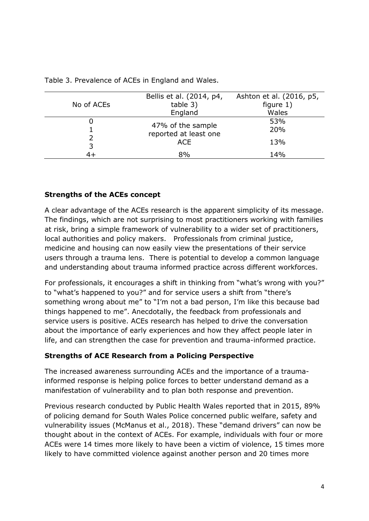| No of ACEs | Bellis et al. (2014, p4,<br>table 3)       | Ashton et al. (2016, p5,<br>figure $1)$ |
|------------|--------------------------------------------|-----------------------------------------|
|            | England                                    | Wales                                   |
|            | 47% of the sample<br>reported at least one | 53%<br>20%                              |
| 3          | <b>ACE</b>                                 | 13%                                     |
|            | 8%                                         | 14%                                     |

Table 3. Prevalence of ACEs in England and Wales.

#### **Strengths of the ACEs concept**

A clear advantage of the ACEs research is the apparent simplicity of its message. The findings, which are not surprising to most practitioners working with families at risk, bring a simple framework of vulnerability to a wider set of practitioners, local authorities and policy makers. Professionals from criminal justice, medicine and housing can now easily view the presentations of their service users through a trauma lens. There is potential to develop a common language and understanding about trauma informed practice across different workforces.

For professionals, it encourages a shift in thinking from "what's wrong with you?" to "what's happened to you?" and for service users a shift from "there's something wrong about me" to "I'm not a bad person, I'm like this because bad things happened to me". Anecdotally, the feedback from professionals and service users is positive. ACEs research has helped to drive the conversation about the importance of early experiences and how they affect people later in life, and can strengthen the case for prevention and trauma-informed practice.

#### **Strengths of ACE Research from a Policing Perspective**

The increased awareness surrounding ACEs and the importance of a traumainformed response is helping police forces to better understand demand as a manifestation of vulnerability and to plan both response and prevention.

Previous research conducted by Public Health Wales reported that in 2015, 89% of policing demand for South Wales Police concerned public welfare, safety and vulnerability issues (McManus et al., 2018). These "demand drivers" can now be thought about in the context of ACEs. For example, individuals with four or more ACEs were 14 times more likely to have been a victim of violence, 15 times more likely to have committed violence against another person and 20 times more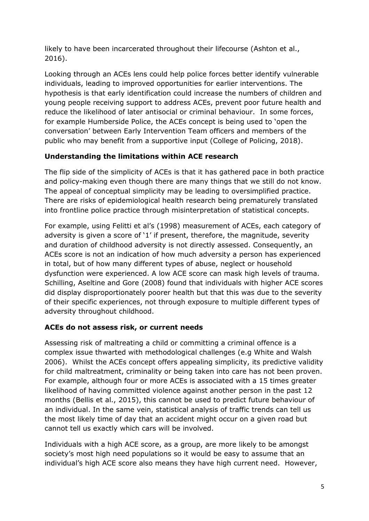likely to have been incarcerated throughout their lifecourse (Ashton et al., 2016).

Looking through an ACEs lens could help police forces better identify vulnerable individuals, leading to improved opportunities for earlier interventions. The hypothesis is that early identification could increase the numbers of children and young people receiving support to address ACEs, prevent poor future health and reduce the likelihood of later antisocial or criminal behaviour. In some forces, for example Humberside Police, the ACEs concept is being used to 'open the conversation' between Early Intervention Team officers and members of the public who may benefit from a supportive input (College of Policing, 2018).

### **Understanding the limitations within ACE research**

The flip side of the simplicity of ACEs is that it has gathered pace in both practice and policy-making even though there are many things that we still do not know. The appeal of conceptual simplicity may be leading to oversimplified practice. There are risks of epidemiological health research being prematurely translated into frontline police practice through misinterpretation of statistical concepts.

For example, using Felitti et al's (1998) measurement of ACEs, each category of adversity is given a score of '1' if present, therefore, the magnitude, severity and duration of childhood adversity is not directly assessed. Consequently, an ACEs score is not an indication of how much adversity a person has experienced in total, but of how many different types of abuse, neglect or household dysfunction were experienced. A low ACE score can mask high levels of trauma. Schilling, Aseltine and Gore (2008) found that individuals with higher ACE scores did display disproportionately poorer health but that this was due to the severity of their specific experiences, not through exposure to multiple different types of adversity throughout childhood.

#### **ACEs do not assess risk, or current needs**

Assessing risk of maltreating a child or committing a criminal offence is a complex issue thwarted with methodological challenges (e.g White and Walsh 2006). Whilst the ACEs concept offers appealing simplicity, its predictive validity for child maltreatment, criminality or being taken into care has not been proven. For example, although four or more ACEs is associated with a 15 times greater likelihood of having committed violence against another person in the past 12 months (Bellis et al., 2015), this cannot be used to predict future behaviour of an individual. In the same vein, statistical analysis of traffic trends can tell us the most likely time of day that an accident might occur on a given road but cannot tell us exactly which cars will be involved.

Individuals with a high ACE score, as a group, are more likely to be amongst society's most high need populations so it would be easy to assume that an individual's high ACE score also means they have high current need. However,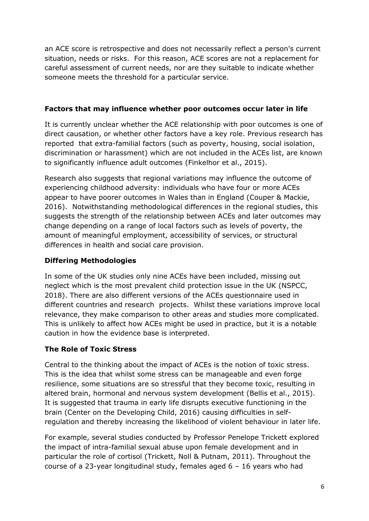an ACE score is retrospective and does not necessarily reflect a person's current situation, needs or risks. For this reason, ACE scores are not a replacement for careful assessment of current needs, nor are they suitable to indicate whether someone meets the threshold for a particular service.

#### **Factors that may influence whether poor outcomes occur later in life**

It is currently unclear whether the ACE relationship with poor outcomes is one of direct causation, or whether other factors have a key role. Previous research has reported that extra-familial factors (such as poverty, housing, social isolation, discrimination or harassment) which are not included in the ACEs list, are known to significantly influence adult outcomes (Finkelhor et al., 2015).

Research also suggests that regional variations may influence the outcome of experiencing childhood adversity: individuals who have four or more ACEs appear to have poorer outcomes in Wales than in England (Couper & Mackie, 2016). Notwithstanding methodological differences in the regional studies, this suggests the strength of the relationship between ACEs and later outcomes may change depending on a range of local factors such as levels of poverty, the amount of meaningful employment, accessibility of services, or structural differences in health and social care provision.

# **Differing Methodologies**

In some of the UK studies only nine ACEs have been included, missing out neglect which is the most prevalent child protection issue in the UK (NSPCC, 2018). There are also different versions of the ACEs questionnaire used in different countries and research projects. Whilst these variations improve local relevance, they make comparison to other areas and studies more complicated. This is unlikely to affect how ACEs might be used in practice, but it is a notable caution in how the evidence base is interpreted.

# **The Role of Toxic Stress**

Central to the thinking about the impact of ACEs is the notion of toxic stress. This is the idea that whilst some stress can be manageable and even forge resilience, some situations are so stressful that they become toxic, resulting in altered brain, hormonal and nervous system development (Bellis et al., 2015). It is suggested that trauma in early life disrupts executive functioning in the brain (Center on the Developing Child, 2016) causing difficulties in selfregulation and thereby increasing the likelihood of violent behaviour in later life.

For example, several studies conducted by Professor Penelope Trickett explored the impact of intra-familial sexual abuse upon female development and in particular the role of cortisol (Trickett, Noll & Putnam, 2011). Throughout the course of a 23-year longitudinal study, females aged 6 – 16 years who had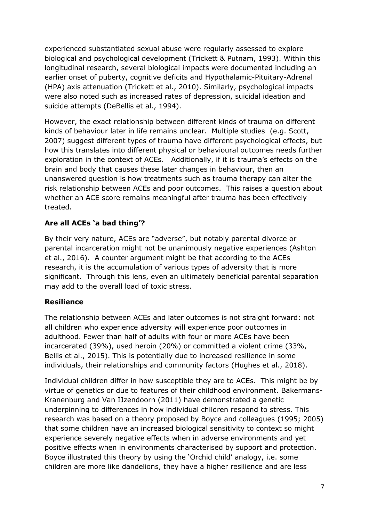experienced substantiated sexual abuse were regularly assessed to explore biological and psychological development (Trickett & Putnam, 1993). Within this longitudinal research, several biological impacts were documented including an earlier onset of puberty, cognitive deficits and Hypothalamic-Pituitary-Adrenal (HPA) axis attenuation (Trickett et al., 2010). Similarly, psychological impacts were also noted such as increased rates of depression, suicidal ideation and suicide attempts (DeBellis et al., 1994).

However, the exact relationship between different kinds of trauma on different kinds of behaviour later in life remains unclear. Multiple studies (e.g. Scott, 2007) suggest different types of trauma have different psychological effects, but how this translates into different physical or behavioural outcomes needs further exploration in the context of ACEs. Additionally, if it is trauma's effects on the brain and body that causes these later changes in behaviour, then an unanswered question is how treatments such as trauma therapy can alter the risk relationship between ACEs and poor outcomes. This raises a question about whether an ACE score remains meaningful after trauma has been effectively treated.

# **Are all ACEs 'a bad thing'?**

By their very nature, ACEs are "adverse", but notably parental divorce or parental incarceration might not be unanimously negative experiences (Ashton et al., 2016). A counter argument might be that according to the ACEs research, it is the accumulation of various types of adversity that is more significant. Through this lens, even an ultimately beneficial parental separation may add to the overall load of toxic stress.

#### **Resilience**

The relationship between ACEs and later outcomes is not straight forward: not all children who experience adversity will experience poor outcomes in adulthood. Fewer than half of adults with four or more ACEs have been incarcerated (39%), used heroin (20%) or committed a violent crime (33%, Bellis et al., 2015). This is potentially due to increased resilience in some individuals, their relationships and community factors (Hughes et al., 2018).

Individual children differ in how susceptible they are to ACEs. This might be by virtue of genetics or due to features of their childhood environment. Bakermans-Kranenburg and Van IJzendoorn (2011) have demonstrated a genetic underpinning to differences in how individual children respond to stress. This research was based on a theory proposed by Boyce and colleagues (1995; 2005) that some children have an increased biological sensitivity to context so might experience severely negative effects when in adverse environments and yet positive effects when in environments characterised by support and protection. Boyce illustrated this theory by using the 'Orchid child' analogy, i.e. some children are more like dandelions, they have a higher resilience and are less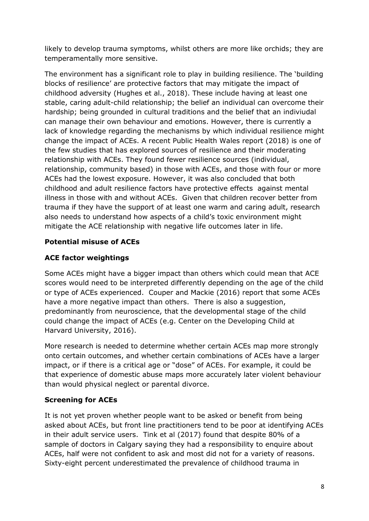likely to develop trauma symptoms, whilst others are more like orchids; they are temperamentally more sensitive.

The environment has a significant role to play in building resilience. The 'building blocks of resilience' are protective factors that may mitigate the impact of childhood adversity (Hughes et al., 2018). These include having at least one stable, caring adult-child relationship; the belief an individual can overcome their hardship; being grounded in cultural traditions and the belief that an indiviudal can manage their own behaviour and emotions. However, there is currently a lack of knowledge regarding the mechanisms by which individual resilience might change the impact of ACEs. A recent Public Health Wales report (2018) is one of the few studies that has explored sources of resilience and their moderating relationship with ACEs. They found fewer resilience sources (individual, relationship, community based) in those with ACEs, and those with four or more ACEs had the lowest exposure. However, it was also concluded that both childhood and adult resilience factors have protective effects against mental illness in those with and without ACEs. Given that children recover better from trauma if they have the support of at least one warm and caring adult, research also needs to understand how aspects of a child's toxic environment might mitigate the ACE relationship with negative life outcomes later in life.

# **Potential misuse of ACEs**

## **ACE factor weightings**

Some ACEs might have a bigger impact than others which could mean that ACE scores would need to be interpreted differently depending on the age of the child or type of ACEs experienced. Couper and Mackie (2016) report that some ACEs have a more negative impact than others. There is also a suggestion, predominantly from neuroscience, that the developmental stage of the child could change the impact of ACEs (e.g. Center on the Developing Child at Harvard University, 2016).

More research is needed to determine whether certain ACEs map more strongly onto certain outcomes, and whether certain combinations of ACEs have a larger impact, or if there is a critical age or "dose" of ACEs. For example, it could be that experience of domestic abuse maps more accurately later violent behaviour than would physical neglect or parental divorce.

# **Screening for ACEs**

It is not yet proven whether people want to be asked or benefit from being asked about ACEs, but front line practitioners tend to be poor at identifying ACEs in their adult service users. Tink et al (2017) found that despite 80% of a sample of doctors in Calgary saying they had a responsibility to enquire about ACEs, half were not confident to ask and most did not for a variety of reasons. Sixty-eight percent underestimated the prevalence of childhood trauma in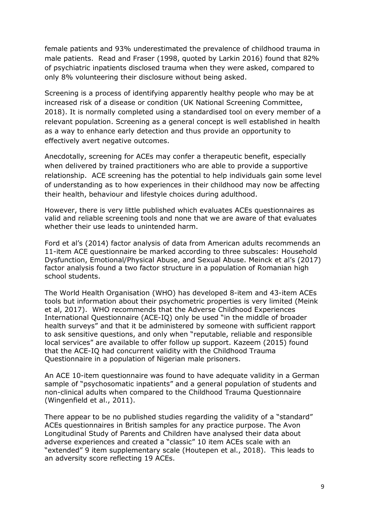female patients and 93% underestimated the prevalence of childhood trauma in male patients. Read and Fraser (1998, quoted by Larkin 2016) found that 82% of psychiatric inpatients disclosed trauma when they were asked, compared to only 8% volunteering their disclosure without being asked.

Screening is a process of identifying apparently healthy people who may be at increased risk of a disease or condition (UK National Screening Committee, 2018). It is normally completed using a standardised tool on every member of a relevant population. Screening as a general concept is well established in health as a way to enhance early detection and thus provide an opportunity to effectively avert negative outcomes.

Anecdotally, screening for ACEs may confer a therapeutic benefit, especially when delivered by trained practitioners who are able to provide a supportive relationship. ACE screening has the potential to help individuals gain some level of understanding as to how experiences in their childhood may now be affecting their health, behaviour and lifestyle choices during adulthood.

However, there is very little published which evaluates ACEs questionnaires as valid and reliable screening tools and none that we are aware of that evaluates whether their use leads to unintended harm.

Ford et al's (2014) factor analysis of data from American adults recommends an 11-item ACE questionnaire be marked according to three subscales: Household Dysfunction, Emotional/Physical Abuse, and Sexual Abuse. Meinck et al's (2017) factor analysis found a two factor structure in a population of Romanian high school students.

The World Health Organisation (WHO) has developed 8-item and 43-item ACEs tools but information about their psychometric properties is very limited (Meink et al, 2017). WHO recommends that the Adverse Childhood Experiences International Questionnaire (ACE-IQ) only be used "in the middle of broader health surveys" and that it be administered by someone with sufficient rapport to ask sensitive questions, and only when "reputable, reliable and responsible local services" are available to offer follow up support. Kazeem (2015) found that the ACE-IQ had concurrent validity with the Childhood Trauma Questionnaire in a population of Nigerian male prisoners.

An ACE 10-item questionnaire was found to have adequate validity in a German sample of "psychosomatic inpatients" and a general population of students and non-clinical adults when compared to the Childhood Trauma Questionnaire (Wingenfield et al., 2011).

There appear to be no published studies regarding the validity of a "standard" ACEs questionnaires in British samples for any practice purpose. The Avon Longitudinal Study of Parents and Children have analysed their data about adverse experiences and created a "classic" 10 item ACEs scale with an "extended" 9 item supplementary scale (Houtepen et al., 2018). This leads to an adversity score reflecting 19 ACEs.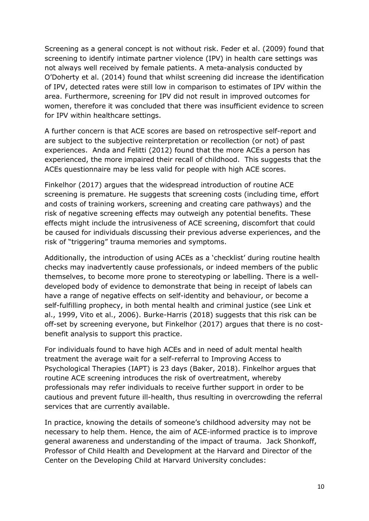Screening as a general concept is not without risk. Feder et al. (2009) found that screening to identify intimate partner violence (IPV) in health care settings was not always well received by female patients. A meta-analysis conducted by O'Doherty et al. (2014) found that whilst screening did increase the identification of IPV, detected rates were still low in comparison to estimates of IPV within the area. Furthermore, screening for IPV did not result in improved outcomes for women, therefore it was concluded that there was insufficient evidence to screen for IPV within healthcare settings.

A further concern is that ACE scores are based on retrospective self-report and are subject to the subjective reinterpretation or recollection (or not) of past experiences. Anda and Felitti (2012) found that the more ACEs a person has experienced, the more impaired their recall of childhood. This suggests that the ACEs questionnaire may be less valid for people with high ACE scores.

Finkelhor (2017) argues that the widespread introduction of routine ACE screening is premature. He suggests that screening costs (including time, effort and costs of training workers, screening and creating care pathways) and the risk of negative screening effects may outweigh any potential benefits. These effects might include the intrusiveness of ACE screening, discomfort that could be caused for individuals discussing their previous adverse experiences, and the risk of "triggering" trauma memories and symptoms.

Additionally, the introduction of using ACEs as a 'checklist' during routine health checks may inadvertently cause professionals, or indeed members of the public themselves, to become more prone to stereotyping or labelling. There is a welldeveloped body of evidence to demonstrate that being in receipt of labels can have a range of negative effects on self-identity and behaviour, or become a self-fulfilling prophecy, in both mental health and criminal justice (see Link et al., 1999, Vito et al., 2006). Burke-Harris (2018) suggests that this risk can be off-set by screening everyone, but Finkelhor (2017) argues that there is no costbenefit analysis to support this practice.

For individuals found to have high ACEs and in need of adult mental health treatment the average wait for a self-referral to Improving Access to Psychological Therapies (IAPT) is 23 days (Baker, 2018). Finkelhor argues that routine ACE screening introduces the risk of overtreatment, whereby professionals may refer individuals to receive further support in order to be cautious and prevent future ill-health, thus resulting in overcrowding the referral services that are currently available.

In practice, knowing the details of someone's childhood adversity may not be necessary to help them. Hence, the aim of ACE-informed practice is to improve general awareness and understanding of the impact of trauma. Jack Shonkoff, Professor of Child Health and Development at the Harvard and Director of the Center on the Developing Child at Harvard University concludes: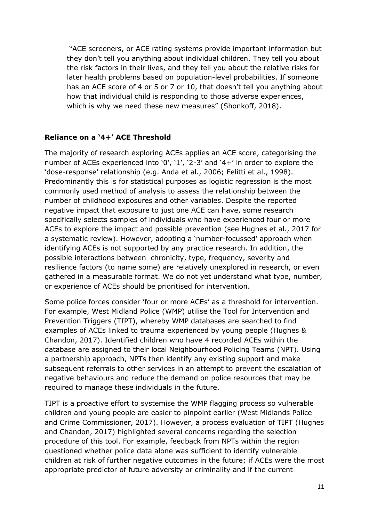"ACE screeners, or ACE rating systems provide important information but they don't tell you anything about individual children. They tell you about the risk factors in their lives, and they tell you about the relative risks for later health problems based on population-level probabilities. If someone has an ACE score of 4 or 5 or 7 or 10, that doesn't tell you anything about how that individual child is responding to those adverse experiences, which is why we need these new measures" (Shonkoff, 2018).

### **Reliance on a '4+' ACE Threshold**

The majority of research exploring ACEs applies an ACE score, categorising the number of ACEs experienced into '0', '1', '2-3' and '4+' in order to explore the 'dose-response' relationship (e.g. Anda et al., 2006; Felitti et al., 1998). Predominantly this is for statistical purposes as logistic regression is the most commonly used method of analysis to assess the relationship between the number of childhood exposures and other variables. Despite the reported negative impact that exposure to just one ACE can have, some research specifically selects samples of individuals who have experienced four or more ACEs to explore the impact and possible prevention (see Hughes et al., 2017 for a systematic review). However, adopting a 'number-focussed' approach when identifying ACEs is not supported by any practice research. In addition, the possible interactions between chronicity, type, frequency, severity and resilience factors (to name some) are relatively unexplored in research, or even gathered in a measurable format. We do not yet understand what type, number, or experience of ACEs should be prioritised for intervention.

Some police forces consider 'four or more ACEs' as a threshold for intervention. For example, West Midland Police (WMP) utilise the Tool for Intervention and Prevention Triggers (TIPT), whereby WMP databases are searched to find examples of ACEs linked to trauma experienced by young people (Hughes & Chandon, 2017). Identified children who have 4 recorded ACEs within the database are assigned to their local Neighbourhood Policing Teams (NPT). Using a partnership approach, NPTs then identify any existing support and make subsequent referrals to other services in an attempt to prevent the escalation of negative behaviours and reduce the demand on police resources that may be required to manage these individuals in the future.

TIPT is a proactive effort to systemise the WMP flagging process so vulnerable children and young people are easier to pinpoint earlier (West Midlands Police and Crime Commissioner, 2017). However, a process evaluation of TIPT (Hughes and Chandon, 2017) highlighted several concerns regarding the selection procedure of this tool. For example, feedback from NPTs within the region questioned whether police data alone was sufficient to identify vulnerable children at risk of further negative outcomes in the future; if ACEs were the most appropriate predictor of future adversity or criminality and if the current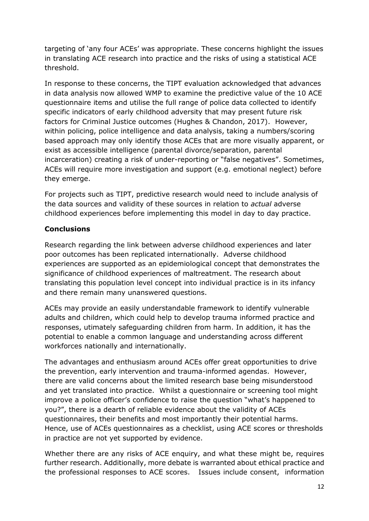targeting of 'any four ACEs' was appropriate. These concerns highlight the issues in translating ACE research into practice and the risks of using a statistical ACE threshold.

In response to these concerns, the TIPT evaluation acknowledged that advances in data analysis now allowed WMP to examine the predictive value of the 10 ACE questionnaire items and utilise the full range of police data collected to identify specific indicators of early childhood adversity that may present future risk factors for Criminal Justice outcomes (Hughes & Chandon, 2017). However, within policing, police intelligence and data analysis, taking a numbers/scoring based approach may only identify those ACEs that are more visually apparent, or exist as accessible intelligence (parental divorce/separation, parental incarceration) creating a risk of under-reporting or "false negatives". Sometimes, ACEs will require more investigation and support (e.g. emotional neglect) before they emerge.

For projects such as TIPT, predictive research would need to include analysis of the data sources and validity of these sources in relation to *actual* adverse childhood experiences before implementing this model in day to day practice.

### **Conclusions**

Research regarding the link between adverse childhood experiences and later poor outcomes has been replicated internationally. Adverse childhood experiences are supported as an epidemiological concept that demonstrates the significance of childhood experiences of maltreatment. The research about translating this population level concept into individual practice is in its infancy and there remain many unanswered questions.

ACEs may provide an easily understandable framework to identify vulnerable adults and children, which could help to develop trauma informed practice and responses, utimately safeguarding children from harm. In addition, it has the potential to enable a common language and understanding across different workforces nationally and internationally.

The advantages and enthusiasm around ACEs offer great opportunities to drive the prevention, early intervention and trauma-informed agendas. However, there are valid concerns about the limited research base being misunderstood and yet translated into practice. Whilst a questionnaire or screening tool might improve a police officer's confidence to raise the question "what's happened to you?", there is a dearth of reliable evidence about the validity of ACEs questionnaires, their benefits and most importantly their potential harms. Hence, use of ACEs questionnaires as a checklist, using ACE scores or thresholds in practice are not yet supported by evidence.

Whether there are any risks of ACE enquiry, and what these might be, requires further research. Additionally, more debate is warranted about ethical practice and the professional responses to ACE scores. Issues include consent, information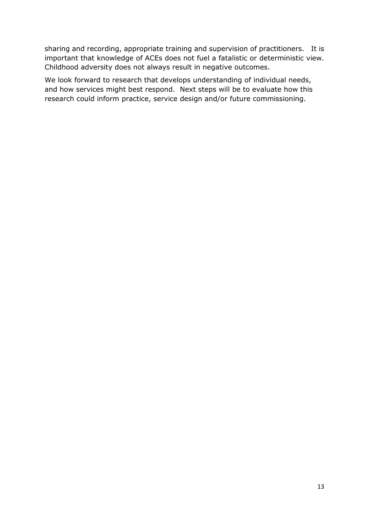sharing and recording, appropriate training and supervision of practitioners. It is important that knowledge of ACEs does not fuel a fatalistic or deterministic view. Childhood adversity does not always result in negative outcomes.

We look forward to research that develops understanding of individual needs, and how services might best respond. Next steps will be to evaluate how this research could inform practice, service design and/or future commissioning.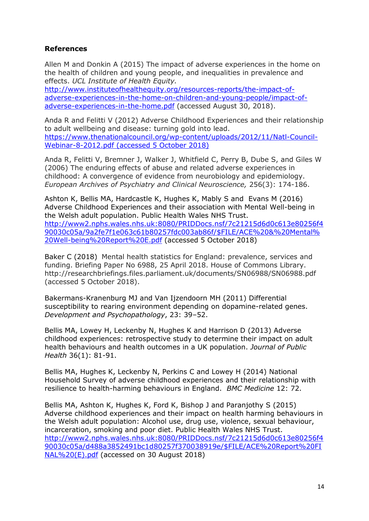#### **References**

Allen M and Donkin A (2015) The impact of adverse experiences in the home on the health of children and young people, and inequalities in prevalence and effects. *UCL Institute of Health Equity.*

[http://www.instituteofhealthequity.org/resources-reports/the-impact-of](http://www.instituteofhealthequity.org/resources-reports/the-impact-of-adverse-experiences-in-the-home-on-children-and-young-people/impact-of-adverse-experiences-in-the-home.pdf)[adverse-experiences-in-the-home-on-children-and-young-people/impact-of](http://www.instituteofhealthequity.org/resources-reports/the-impact-of-adverse-experiences-in-the-home-on-children-and-young-people/impact-of-adverse-experiences-in-the-home.pdf)[adverse-experiences-in-the-home.pdf](http://www.instituteofhealthequity.org/resources-reports/the-impact-of-adverse-experiences-in-the-home-on-children-and-young-people/impact-of-adverse-experiences-in-the-home.pdf) (accessed August 30, 2018).

Anda R and Felitti V (2012) Adverse Childhood Experiences and their relationship to adult wellbeing and disease: turning gold into lead. [https://www.thenationalcouncil.org/wp-content/uploads/2012/11/Natl-Council-](https://www.thenationalcouncil.org/wp-content/uploads/2012/11/Natl-Council-Webinar-8-2012.pdf)[Webinar-8-2012.pdf](https://www.thenationalcouncil.org/wp-content/uploads/2012/11/Natl-Council-Webinar-8-2012.pdf) (accessed 5 October 2018)

Anda R, Felitti V, Bremner J, Walker J, Whitfield C, Perry B, Dube S, and Giles W (2006) The enduring effects of abuse and related adverse experiences in childhood: A convergence of evidence from neurobiology and epidemiology. *European Archives of Psychiatry and Clinical Neuroscience,* 256(3): 174-186.

Ashton K, Bellis MA, Hardcastle K, Hughes K, Mably S and Evans M (2016) Adverse Childhood Experiences and their association with Mental Well-being in the Welsh adult population. Public Health Wales NHS Trust. [http://www2.nphs.wales.nhs.uk:8080/PRIDDocs.nsf/7c21215d6d0c613e80256f4](http://www2.nphs.wales.nhs.uk:8080/PRIDDocs.nsf/7c21215d6d0c613e80256f490030c05a/9a2fe7f1e063c61b80257fdc003ab86f/$FILE/ACE%20&%20Mental%20Well-being%20Report%20E.pdf) [90030c05a/9a2fe7f1e063c61b80257fdc003ab86f/\\$FILE/ACE%20&%20Mental%](http://www2.nphs.wales.nhs.uk:8080/PRIDDocs.nsf/7c21215d6d0c613e80256f490030c05a/9a2fe7f1e063c61b80257fdc003ab86f/$FILE/ACE%20&%20Mental%20Well-being%20Report%20E.pdf) [20Well-being%20Report%20E.pdf](http://www2.nphs.wales.nhs.uk:8080/PRIDDocs.nsf/7c21215d6d0c613e80256f490030c05a/9a2fe7f1e063c61b80257fdc003ab86f/$FILE/ACE%20&%20Mental%20Well-being%20Report%20E.pdf) (accessed 5 October 2018)

Baker C (2018) Mental health statistics for England: prevalence, services and funding. Briefing Paper No 6988, 25 April 2018. House of Commons Library. <http://researchbriefings.files.parliament.uk/documents/SN06988/SN06988.pdf> (accessed 5 October 2018).

Bakermans-Kranenburg MJ and Van Ijzendoorn MH (2011) Differential susceptibility to rearing environment depending on dopamine-related genes. *Development and Psychopathology*, 23: 39–52.

Bellis MA, Lowey H, Leckenby N, Hughes K and Harrison D (2013) Adverse childhood experiences: retrospective study to determine their impact on adult health behaviours and health outcomes in a UK population. *Journal of Public Health* 36(1): 81-91.

Bellis MA, Hughes K, Leckenby N, Perkins C and Lowey H (2014) National Household Survey of adverse childhood experiences and their relationship with resilience to health-harming behaviours in England. *BMC Medicine* 12: 72.

Bellis MA, Ashton K, Hughes K, Ford K, Bishop J and Paranjothy S (2015) Adverse childhood experiences and their impact on health harming behaviours in the Welsh adult population: Alcohol use, drug use, violence, sexual behaviour, incarceration, smoking and poor diet. Public Health Wales NHS Trust. [http://www2.nphs.wales.nhs.uk:8080/PRIDDocs.nsf/7c21215d6d0c613e80256f4](http://www2.nphs.wales.nhs.uk:8080/PRIDDocs.nsf/7c21215d6d0c613e80256f490030c05a/d488a3852491bc1d80257f370038919e/$FILE/ACE%20Report%20FINAL%20(E).pdf) [90030c05a/d488a3852491bc1d80257f370038919e/\\$FILE/ACE%20Report%20FI](http://www2.nphs.wales.nhs.uk:8080/PRIDDocs.nsf/7c21215d6d0c613e80256f490030c05a/d488a3852491bc1d80257f370038919e/$FILE/ACE%20Report%20FINAL%20(E).pdf) [NAL%20\(E\).pdf](http://www2.nphs.wales.nhs.uk:8080/PRIDDocs.nsf/7c21215d6d0c613e80256f490030c05a/d488a3852491bc1d80257f370038919e/$FILE/ACE%20Report%20FINAL%20(E).pdf) (accessed on 30 August 2018)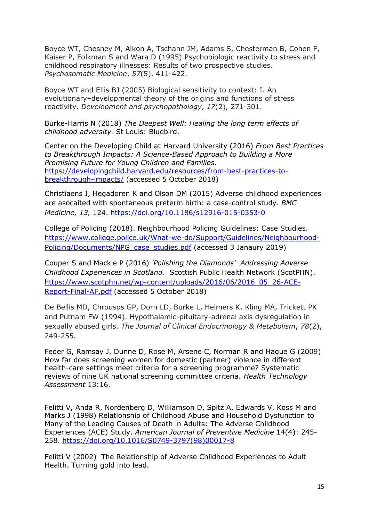Boyce WT, Chesney M, Alkon A, Tschann JM, Adams S, Chesterman B, Cohen F, Kaiser P, Folkman S and Wara D (1995) Psychobiologic reactivity to stress and childhood respiratory illnesses: Results of two prospective studies. *Psychosomatic Medicine*, *57*(5), 411-422.

Boyce WT and Ellis BJ (2005) Biological sensitivity to context: I. An evolutionary–developmental theory of the origins and functions of stress reactivity. *Development and psychopathology*, *17*(2), 271-301.

Burke-Harris N (2018) *The Deepest Well: Healing the long term effects of childhood adversity.* St Louis: Bluebird.

Center on the Developing Child at Harvard University (2016) *From Best Practices to Breakthrough Impacts: A Science-Based Approach to Building a More Promising Future for Young Children and Families.* [https://developingchild.harvard.edu/resources/from-best-practices-to](https://developingchild.harvard.edu/resources/from-best-practices-to-breakthrough-impacts/)[breakthrough-impacts/](https://developingchild.harvard.edu/resources/from-best-practices-to-breakthrough-impacts/) (accessed 5 October 2018)

Christiaens I, Hegadoren K and Olson DM (2015) Adverse childhood experiences are asocaited with spontaneous preterm birth: a case-control study. *BMC Medicine, 13,* 124.<https://doi.org/10.1186/s12916-015-0353-0>

College of Policing (2018). Neighbourhood Policing Guidelines: Case Studies. [https://www.college.police.uk/What-we-do/Support/Guidelines/Neighbourhood-](https://www.college.police.uk/What-we-do/Support/Guidelines/Neighbourhood-Policing/Documents/NPG_case_studies.pdf)[Policing/Documents/NPG\\_case\\_studies.pdf](https://www.college.police.uk/What-we-do/Support/Guidelines/Neighbourhood-Policing/Documents/NPG_case_studies.pdf) (accessed 3 Janaury 2019)

Couper S and Mackie P (2016) *'Polishing the Diamonds' Addressing Adverse Childhood Experiences in Scotland.* Scottish Public Health Network (ScotPHN). [https://www.scotphn.net/wp-content/uploads/2016/06/2016\\_05\\_26-ACE-](https://www.scotphn.net/wp-content/uploads/2016/06/2016_05_26-ACE-Report-Final-AF.pdf)[Report-Final-AF.pdf](https://www.scotphn.net/wp-content/uploads/2016/06/2016_05_26-ACE-Report-Final-AF.pdf) (accessed 5 October 2018)

De Bellis MD, Chrousos GP, Dorn LD, Burke L, Helmers K, Kling MA, Trickett PK and Putnam FW (1994). Hypothalamic-pituitary-adrenal axis dysregulation in sexually abused girls. *The Journal of Clinical Endocrinology & Metabolism*, *78*(2), 249-255.

Feder G, Ramsay J, Dunne D, Rose M, Arsene C, Norman R and Hague G (2009) How far does screening women for domestic (partner) violence in different health-care settings meet criteria for a screening programme? Systematic reviews of nine UK national screening committee criteria. *Health Technology Assessment* 13:16.

Felitti V, Anda R, Nordenberg D, Williamson D, Spitz A, Edwards V, Koss M and Marks J (1998) Relationship of Childhood Abuse and Household Dysfunction to Many of the Leading Causes of Death in Adults: The Adverse Childhood Experiences (ACE) Study. *American Journal of Preventive Medicine* 14(4): 245- 258. [https://doi.org/10.1016/S0749-3797\(98\)00017-8](https://doi.org/10.1016/S0749-3797(98)00017-8)

Felitti V (2002) The Relationship of Adverse Childhood Experiences to Adult Health. Turning gold into lead.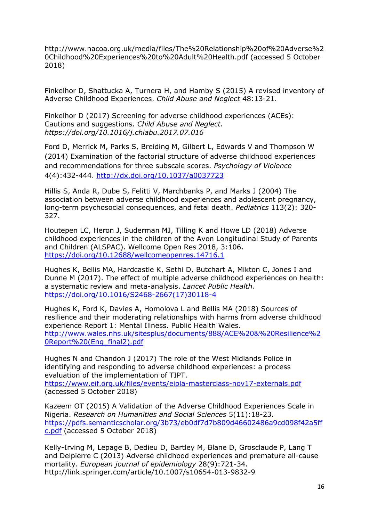[http://www.nacoa.org.uk/media/files/The%20Relationship%20of%20Adverse%2](http://www.nacoa.org.uk/media/files/The%20Relationship%20of%20Adverse%20Childhood%20Experiences%20to%20Adult%20Health.pdf) [0Childhood%20Experiences%20to%20Adult%20Health.pdf](http://www.nacoa.org.uk/media/files/The%20Relationship%20of%20Adverse%20Childhood%20Experiences%20to%20Adult%20Health.pdf) (accessed 5 October 2018)

Finkelhor D, Shattucka A, Turnera H, and Hamby S (2015) A revised inventory of Adverse Childhood Experiences. *Child Abuse and Neglect* 48:13-21.

Finkelhor D (2017) Screening for adverse childhood experiences (ACEs): Cautions and suggestions. *Child Abuse and Neglect. https://doi.org/10.1016/j.chiabu.2017.07.016* 

Ford D, Merrick M, Parks S, Breiding M, Gilbert L, Edwards V and Thompson W (2014) Examination of the factorial structure of adverse childhood experiences and recommendations for three subscale scores. *Psychology of Violence*  4(4):432-444. [http://dx.doi.org/10.1037/a0037723](http://psycnet.apa.org/doi/10.1037/a0037723)

Hillis S, Anda R, Dube S, Felitti V, Marchbanks P, and Marks J (2004) The association between adverse childhood experiences and adolescent pregnancy, long-term psychosocial consequences, and fetal death. *Pediatrics* 113(2): 320- 327.

Houtepen LC, Heron J, Suderman MJ, Tilling K and Howe LD (2018) Adverse childhood experiences in the children of the Avon Longitudinal Study of Parents and Children (ALSPAC). Wellcome Open Res 2018, 3:106. <https://doi.org/10.12688/wellcomeopenres.14716.1>

Hughes K, Bellis MA, Hardcastle K, Sethi D, Butchart A, Mikton C, Jones I and Dunne M (2017). The effect of multiple adverse childhood experiences on health: a systematic review and meta-analysis. *Lancet Public Health.*  [https://doi.org/10.1016/S2468-2667\(17\)30118-4](https://doi.org/10.1016/S2468-2667(17)30118-4)

Hughes K, Ford K, Davies A, Homolova L and Bellis MA (2018) Sources of resilience and their moderating relationships with harms from adverse childhood experience Report 1: Mental Illness. Public Health Wales. [http://www.wales.nhs.uk/sitesplus/documents/888/ACE%20&%20Resilience%2](http://www.wales.nhs.uk/sitesplus/documents/888/ACE%20&%20Resilience%20Report%20(Eng_final2).pdf) [0Report%20\(Eng\\_final2\).pdf](http://www.wales.nhs.uk/sitesplus/documents/888/ACE%20&%20Resilience%20Report%20(Eng_final2).pdf)

Hughes N and Chandon J (2017) The role of the West Midlands Police in identifying and responding to adverse childhood experiences: a process evaluation of the implementation of TIPT.

<https://www.eif.org.uk/files/events/eipla-masterclass-nov17-externals.pdf> (accessed 5 October 2018)

Kazeem OT (2015) A Validation of the Adverse Childhood Experiences Scale in Nigeria. *Research on Humanities and Social Sciences* 5(11):18-23. [https://pdfs.semanticscholar.org/3b73/eb0df7d7b809d46602486a9cd098f42a5ff](https://pdfs.semanticscholar.org/3b73/eb0df7d7b809d46602486a9cd098f42a5ffc.pdf) [c.pdf](https://pdfs.semanticscholar.org/3b73/eb0df7d7b809d46602486a9cd098f42a5ffc.pdf) (accessed 5 October 2018)

Kelly-Irving M, Lepage B, Dedieu D, Bartley M, Blane D, Grosclaude P, Lang T and Delpierre C (2013) Adverse childhood experiences and premature all-cause mortality. *European journal of epidemiology* 28(9):721-34. <http://link.springer.com/article/10.1007/s10654-013-9832-9>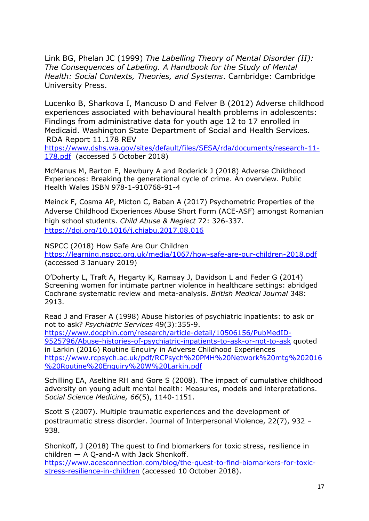Link BG, Phelan JC (1999) *The Labelling Theory of Mental Disorder (II): The Consequences of Labeling. A Handbook for the Study of Mental Health: Social Contexts, Theories, and Systems*. Cambridge: Cambridge University Press.

Lucenko B, Sharkova I, Mancuso D and Felver B (2012) Adverse childhood experiences associated with behavioural health problems in adolescents: Findings from administrative data for youth age 12 to 17 enrolled in Medicaid. Washington State Department of Social and Health Services. RDA Report 11.178 REV

[https://www.dshs.wa.gov/sites/default/files/SESA/rda/documents/research-11-](https://www.dshs.wa.gov/sites/default/files/SESA/rda/documents/research-11-178.pdf) [178.pdf](https://www.dshs.wa.gov/sites/default/files/SESA/rda/documents/research-11-178.pdf) (accessed 5 October 2018)

McManus M, Barton E, Newbury A and Roderick J (2018) Adverse Childhood Experiences: Breaking the generational cycle of crime. An overview. Public Health Wales ISBN 978-1-910768-91-4

Meinck F, Cosma AP, Micton C, Baban A (2017) Psychometric Properties of the Adverse Childhood Experiences Abuse Short Form (ACE-ASF) amongst Romanian high school students. *[Child Abuse & Neglect](https://www.sciencedirect.com/science/journal/01452134)* [72:](https://www.sciencedirect.com/science/journal/01452134/72/supp/C) 326-337. <https://doi.org/10.1016/j.chiabu.2017.08.016>

NSPCC (2018) How Safe Are Our Children <https://learning.nspcc.org.uk/media/1067/how-safe-are-our-children-2018.pdf> (accessed 3 January 2019)

O'Doherty L, Traft A, Hegarty K, Ramsay J, Davidson L and Feder G (2014) Screening women for intimate partner violence in healthcare settings: abridged Cochrane systematic review and meta-analysis. *British Medical Journal* 348: 2913.

Read J and Fraser A (1998) Abuse histories of psychiatric inpatients: to ask or not to ask? *Psychiatric Services* 49(3):355-9. [https://www.docphin.com/research/article-detail/10506156/PubMedID-](https://www.docphin.com/research/article-detail/10506156/PubMedID-9525796/Abuse-histories-of-psychiatric-inpatients-to-ask-or-not-to-ask)[9525796/Abuse-histories-of-psychiatric-inpatients-to-ask-or-not-to-ask](https://www.docphin.com/research/article-detail/10506156/PubMedID-9525796/Abuse-histories-of-psychiatric-inpatients-to-ask-or-not-to-ask) quoted in Larkin (2016) Routine Enquiry in Adverse Childhood Experiences

[https://www.rcpsych.ac.uk/pdf/RCPsych%20PMH%20Network%20mtg%202016](https://www.rcpsych.ac.uk/pdf/RCPsych%20PMH%20Network%20mtg%202016%20Routine%20Enquiry%20W%20Larkin.pdf) [%20Routine%20Enquiry%20W%20Larkin.pdf](https://www.rcpsych.ac.uk/pdf/RCPsych%20PMH%20Network%20mtg%202016%20Routine%20Enquiry%20W%20Larkin.pdf)

Schilling EA, Aseltine RH and Gore S (2008). The impact of cumulative childhood adversity on young adult mental health: Measures, models and interpretations. *Social Science Medicine, 66*(5), 1140-1151.

Scott S (2007). Multiple traumatic experiences and the development of posttraumatic stress disorder. Journal of Interpersonal Violence, 22(7), 932 – 938.

Shonkoff, J (2018) The quest to find biomarkers for toxic stress, resilience in children — A Q-and-A with Jack Shonkoff.

[https://www.acesconnection.com/blog/the-quest-to-find-biomarkers-for-toxic](https://www.acesconnection.com/blog/the-quest-to-find-biomarkers-for-toxic-stress-resilience-in-children)[stress-resilience-in-children](https://www.acesconnection.com/blog/the-quest-to-find-biomarkers-for-toxic-stress-resilience-in-children) (accessed 10 October 2018).